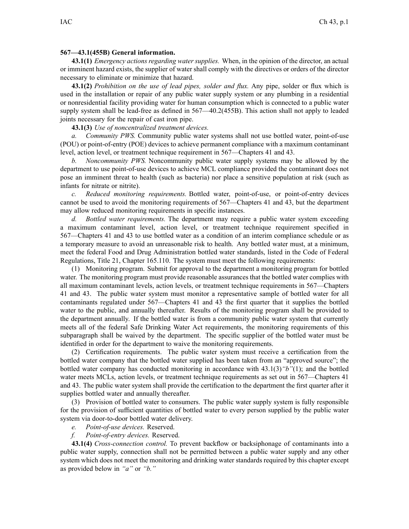## **567—43.1(455B) General information.**

**43.1(1)** *Emergency actions regarding water supplies.* When, in the opinion of the director, an actual or imminent hazard exists, the supplier of water shall comply with the directives or orders of the director necessary to eliminate or minimize that hazard.

**43.1(2)** *Prohibition on the use of lead pipes, solder and flux.* Any pipe, solder or flux which is used in the installation or repair of any public water supply system or any plumbing in <sup>a</sup> residential or nonresidential facility providing water for human consumption which is connected to <sup>a</sup> public water supply system shall be lead-free as defined in 567—40.2(455B). This action shall not apply to leaded joints necessary for the repair of cast iron pipe.

**43.1(3)** *Use of noncentralized treatment devices.*

*a. Community PWS.* Community public water systems shall not use bottled water, point-of-use (POU) or point-of-entry (POE) devices to achieve permanen<sup>t</sup> compliance with <sup>a</sup> maximum contaminant level, action level, or treatment technique requirement in 567—Chapters 41 and 43.

*b. Noncommunity PWS.* Noncommunity public water supply systems may be allowed by the department to use point-of-use devices to achieve MCL compliance provided the contaminant does not pose an imminent threat to health (such as bacteria) nor place <sup>a</sup> sensitive population at risk (such as infants for nitrate or nitrite).

*c. Reduced monitoring requirements.* Bottled water, point-of-use, or point-of-entry devices cannot be used to avoid the monitoring requirements of 567—Chapters 41 and 43, but the department may allow reduced monitoring requirements in specific instances.

*d. Bottled water requirements.* The department may require <sup>a</sup> public water system exceeding <sup>a</sup> maximum contaminant level, action level, or treatment technique requirement specified in 567—Chapters 41 and 43 to use bottled water as <sup>a</sup> condition of an interim compliance schedule or as <sup>a</sup> temporary measure to avoid an unreasonable risk to health. Any bottled water must, at <sup>a</sup> minimum, meet the federal Food and Drug Administration bottled water standards, listed in the Code of Federal Regulations, Title 21, Chapter 165.110. The system must meet the following requirements:

(1) Monitoring program. Submit for approval to the department <sup>a</sup> monitoring program for bottled water. The monitoring program must provide reasonable assurances that the bottled water complies with all maximum contaminant levels, action levels, or treatment technique requirements in 567—Chapters 41 and 43. The public water system must monitor <sup>a</sup> representative sample of bottled water for all contaminants regulated under 567—Chapters 41 and 43 the first quarter that it supplies the bottled water to the public, and annually thereafter. Results of the monitoring program shall be provided to the department annually. If the bottled water is from <sup>a</sup> community public water system that currently meets all of the federal Safe Drinking Water Act requirements, the monitoring requirements of this subparagraph shall be waived by the department. The specific supplier of the bottled water must be identified in order for the department to waive the monitoring requirements.

(2) Certification requirements. The public water system must receive <sup>a</sup> certification from the bottled water company that the bottled water supplied has been taken from an "approved source"; the bottled water company has conducted monitoring in accordance with 43.1(3)*"b"*(1); and the bottled water meets MCLs, action levels, or treatment technique requirements as set out in 567—Chapters 41 and 43. The public water system shall provide the certification to the department the first quarter after it supplies bottled water and annually thereafter.

(3) Provision of bottled water to consumers. The public water supply system is fully responsible for the provision of sufficient quantities of bottled water to every person supplied by the public water system via door-to-door bottled water delivery.

- *e. Point-of-use devices.* Reserved.
- *f. Point-of-entry devices.* Reserved.

**43.1(4)** *Cross-connection control.* To preven<sup>t</sup> backflow or backsiphonage of contaminants into <sup>a</sup> public water supply, connection shall not be permitted between <sup>a</sup> public water supply and any other system which does not meet the monitoring and drinking water standards required by this chapter excep<sup>t</sup> as provided below in *"a"* or *"b."*